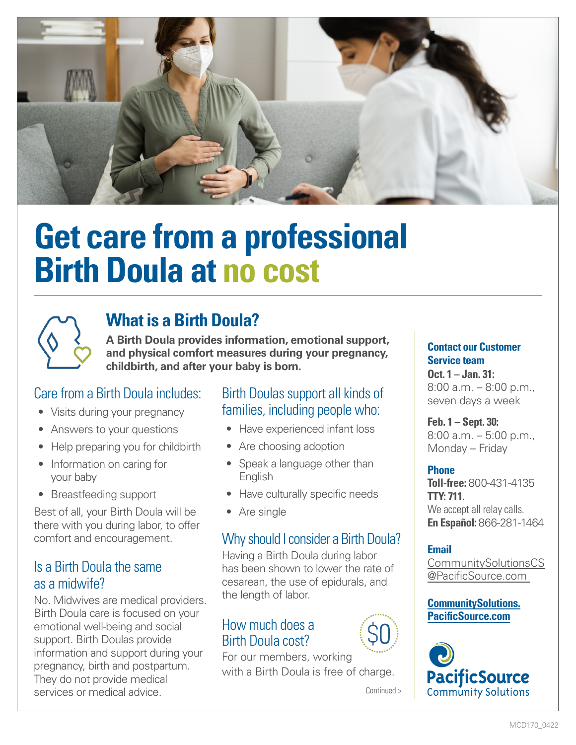

# **Get care from a professional Birth Doula at no cost**



## **What is a Birth Doula?**

**A Birth Doula provides information, emotional support, and physical comfort measures during your pregnancy, childbirth, and after your baby is born.**

## Care from a Birth Doula includes:

- Visits during your pregnancy
- Answers to your questions
- Help preparing you for childbirth
- Information on caring for your baby
- Breastfeeding support

Best of all, your Birth Doula will be there with you during labor, to offer comfort and encouragement.

#### Is a Birth Doula the same as a midwife?

No. Midwives are medical providers. Birth Doula care is focused on your emotional well-being and social support. Birth Doulas provide information and support during your pregnancy, birth and postpartum. They do not provide medical services or medical advice.

#### Birth Doulas support all kinds of families, including people who:

- Have experienced infant loss
- Are choosing adoption
- Speak a language other than English
- Have culturally specific needs
- Are single

## Why should I consider a Birth Doula?

Having a Birth Doula during labor has been shown to lower the rate of cesarean, the use of epidurals, and the length of labor.

#### How much does a Birth Doula cost?

For our members, working with a Birth Doula is free of charge.

Continued >

**Contact our Customer Service team** 

**Oct. 1 – Jan. 31:** 8:00 a.m. – 8:00 p.m., seven days a week

**Feb. 1 – Sept. 30:** 8:00 a.m. – 5:00 p.m., Monday – Friday

#### **Phone**

**Toll-free:** 800-431-4135 **TTY: 711.**  We accept all relay calls. **En Español:** 866-281-1464

#### **Email**

[CommunitySolutionsCS](mailto:mailto:CommunitySolutionsCS%40PacificSource.com%20?subject=) [@PacificSource.com](mailto:mailto:CommunitySolutionsCS%40PacificSource.com%20?subject=)

#### **[CommunitySolutions.](http://CommunitySolutions.PacificSource.com) [PacificSource.com](http://CommunitySolutions.PacificSource.com)**